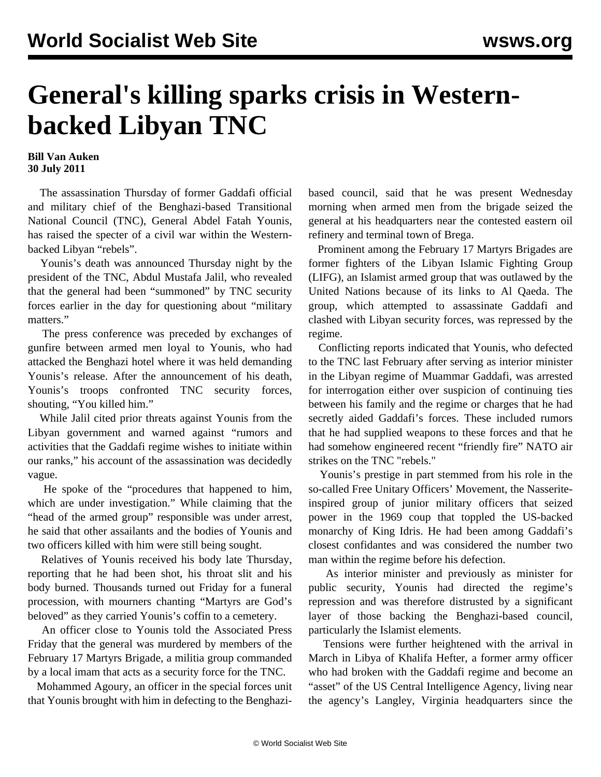## **General's killing sparks crisis in Westernbacked Libyan TNC**

## **Bill Van Auken 30 July 2011**

 The assassination Thursday of former Gaddafi official and military chief of the Benghazi-based Transitional National Council (TNC), General Abdel Fatah Younis, has raised the specter of a civil war within the Westernbacked Libyan "rebels".

 Younis's death was announced Thursday night by the president of the TNC, Abdul Mustafa Jalil, who revealed that the general had been "summoned" by TNC security forces earlier in the day for questioning about "military matters."

 The press conference was preceded by exchanges of gunfire between armed men loyal to Younis, who had attacked the Benghazi hotel where it was held demanding Younis's release. After the announcement of his death, Younis's troops confronted TNC security forces, shouting, "You killed him."

 While Jalil cited prior threats against Younis from the Libyan government and warned against "rumors and activities that the Gaddafi regime wishes to initiate within our ranks," his account of the assassination was decidedly vague.

 He spoke of the "procedures that happened to him, which are under investigation." While claiming that the "head of the armed group" responsible was under arrest, he said that other assailants and the bodies of Younis and two officers killed with him were still being sought.

 Relatives of Younis received his body late Thursday, reporting that he had been shot, his throat slit and his body burned. Thousands turned out Friday for a funeral procession, with mourners chanting "Martyrs are God's beloved" as they carried Younis's coffin to a cemetery.

 An officer close to Younis told the Associated Press Friday that the general was murdered by members of the February 17 Martyrs Brigade, a militia group commanded by a local imam that acts as a security force for the TNC.

 Mohammed Agoury, an officer in the special forces unit that Younis brought with him in defecting to the Benghazibased council, said that he was present Wednesday morning when armed men from the brigade seized the general at his headquarters near the contested eastern oil refinery and terminal town of Brega.

 Prominent among the February 17 Martyrs Brigades are former fighters of the Libyan Islamic Fighting Group (LIFG), an Islamist armed group that was outlawed by the United Nations because of its links to Al Qaeda. The group, which attempted to assassinate Gaddafi and clashed with Libyan security forces, was repressed by the regime.

 Conflicting reports indicated that Younis, who defected to the TNC last February after serving as interior minister in the Libyan regime of Muammar Gaddafi, was arrested for interrogation either over suspicion of continuing ties between his family and the regime or charges that he had secretly aided Gaddafi's forces. These included rumors that he had supplied weapons to these forces and that he had somehow engineered recent "friendly fire" NATO air strikes on the TNC "rebels."

 Younis's prestige in part stemmed from his role in the so-called Free Unitary Officers' Movement, the Nasseriteinspired group of junior military officers that seized power in the 1969 coup that toppled the US-backed monarchy of King Idris. He had been among Gaddafi's closest confidantes and was considered the number two man within the regime before his defection.

 As interior minister and previously as minister for public security, Younis had directed the regime's repression and was therefore distrusted by a significant layer of those backing the Benghazi-based council, particularly the Islamist elements.

 Tensions were further heightened with the arrival in March in Libya of Khalifa Hefter, a former army officer who had broken with the Gaddafi regime and become an "asset" of the US Central Intelligence Agency, living near the agency's Langley, Virginia headquarters since the